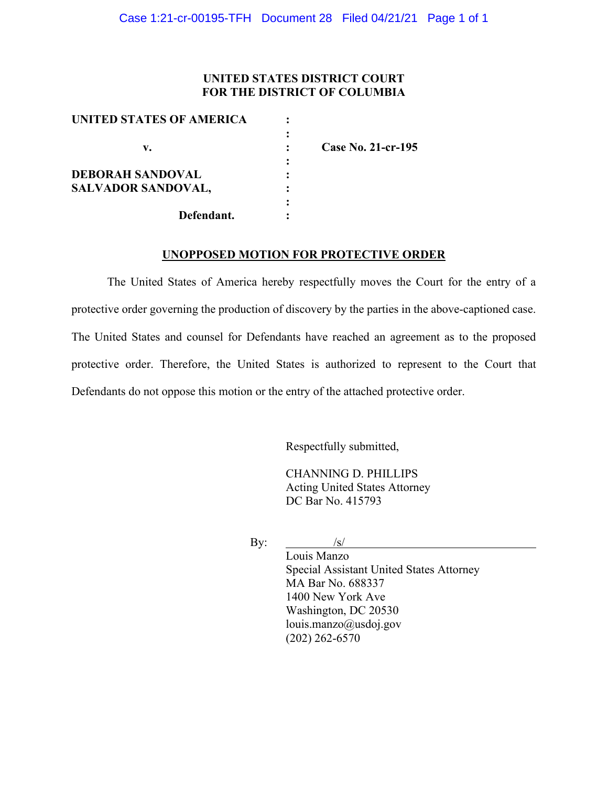## **UNITED STATES DISTRICT COURT FOR THE DISTRICT OF COLUMBIA**

| UNITED STATES OF AMERICA  |                    |
|---------------------------|--------------------|
|                           |                    |
| v.                        | Case No. 21-cr-195 |
|                           |                    |
| <b>DEBORAH SANDOVAL</b>   |                    |
| <b>SALVADOR SANDOVAL,</b> |                    |
|                           |                    |
| Defendant.                |                    |
|                           |                    |

## **UNOPPOSED MOTION FOR PROTECTIVE ORDER**

The United States of America hereby respectfully moves the Court for the entry of a protective order governing the production of discovery by the parties in the above-captioned case. The United States and counsel for Defendants have reached an agreement as to the proposed protective order. Therefore, the United States is authorized to represent to the Court that Defendants do not oppose this motion or the entry of the attached protective order.

Respectfully submitted,

CHANNING D. PHILLIPS Acting United States Attorney DC Bar No. 415793

By:  $\frac{1}{s}$ 

Louis Manzo Special Assistant United States Attorney MA Bar No. 688337 1400 New York Ave Washington, DC 20530 louis.manzo@usdoj.gov (202) 262-6570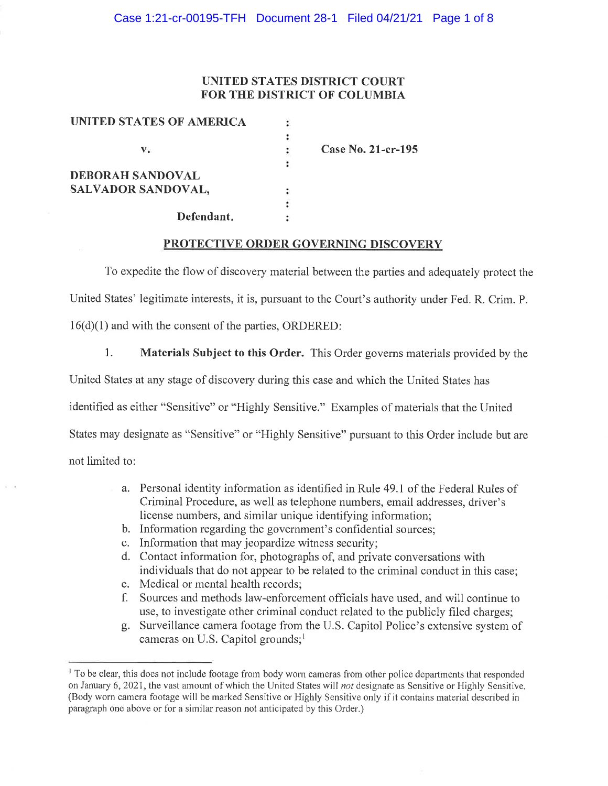## **UNITED STATES DISTRICT COURT** FOR THE DISTRICT OF COLUMBIA

| UNITED STATES OF AMERICA |                    |
|--------------------------|--------------------|
|                          |                    |
| v.                       | Case No. 21-cr-195 |
|                          |                    |
| <b>DEBORAH SANDOVAL</b>  |                    |
| SALVADOR SANDOVAL,       |                    |
|                          |                    |
| Defendant.               |                    |

### **PROTECTIVE ORDER GOVERNING DISCOVERY**

To expedite the flow of discovery material between the parties and adequately protect the

United States' legitimate interests, it is, pursuant to the Court's authority under Fed. R. Crim. P.

 $16(d)(1)$  and with the consent of the parties, ORDERED:

1. Materials Subject to this Order. This Order governs materials provided by the

United States at any stage of discovery during this case and which the United States has

identified as either "Sensitive" or "Highly Sensitive." Examples of materials that the United

States may designate as "Sensitive" or "Highly Sensitive" pursuant to this Order include but are

not limited to:

- a. Personal identity information as identified in Rule 49.1 of the Federal Rules of Criminal Procedure, as well as telephone numbers, email addresses, driver's license numbers, and similar unique identifying information;
- b. Information regarding the government's confidential sources;
- c. Information that may jeopardize witness security;
- d. Contact information for, photographs of, and private conversations with individuals that do not appear to be related to the criminal conduct in this case:
- e. Medical or mental health records;
- f. Sources and methods law-enforcement officials have used, and will continue to use, to investigate other criminal conduct related to the publicly filed charges;
- g. Surveillance camera footage from the U.S. Capitol Police's extensive system of cameras on U.S. Capitol grounds;<sup>1</sup>

<sup>&</sup>lt;sup>1</sup> To be clear, this does not include footage from body worn cameras from other police departments that responded on January 6, 2021, the vast amount of which the United States will not designate as Sensitive or Highly Sensitive. (Body worn camera footage will be marked Sensitive or Highly Sensitive only if it contains material described in paragraph one above or for a similar reason not anticipated by this Order.)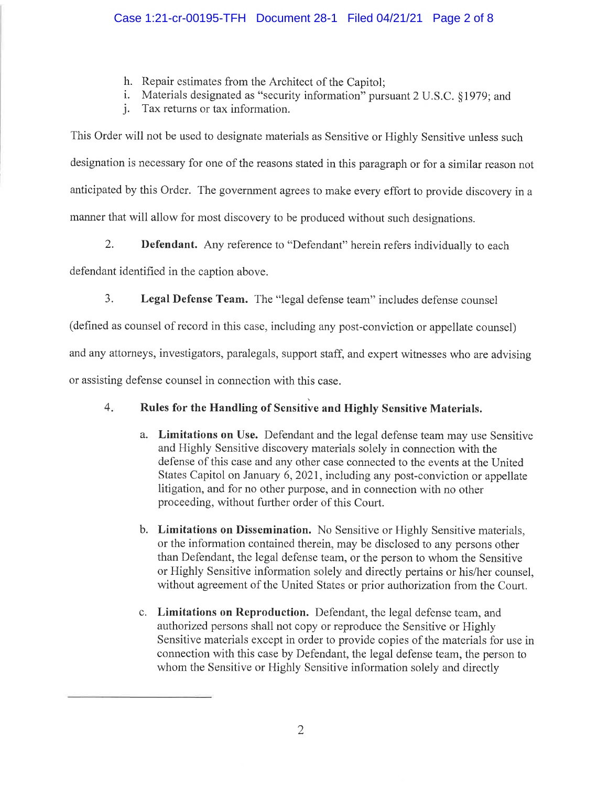- h. Repair estimates from the Architect of the Capitol;
- i. Materials designated as "security information" pursuant 2 U.S.C. §1979; and

*i.* Tax returns or tax information.

This Order will not be used to designate materials as Sensitive or Highly Sensitive unless such designation is necessary for one of the reasons stated in this paragraph or for a similar reason not anticipated by this Order. The government agrees to make every effort to provide discovery in a manner that will allow for most discovery to be produced without such designations.

 $2.$ **Defendant.** Any reference to "Defendant" herein refers individually to each

defendant identified in the caption above.

3. Legal Defense Team. The "legal defense team" includes defense counsel

(defined as counsel of record in this case, including any post-conviction or appellate counsel)

and any attorneys, investigators, paralegals, support staff, and expert witnesses who are advising

or assisting defense counsel in connection with this case.

#### Rules for the Handling of Sensitive and Highly Sensitive Materials.  $4.$

- a. Limitations on Use. Defendant and the legal defense team may use Sensitive and Highly Sensitive discovery materials solely in connection with the defense of this case and any other case connected to the events at the United States Capitol on January 6, 2021, including any post-conviction or appellate litigation, and for no other purpose, and in connection with no other proceeding, without further order of this Court.
- b. Limitations on Dissemination. No Sensitive or Highly Sensitive materials, or the information contained therein, may be disclosed to any persons other than Defendant, the legal defense team, or the person to whom the Sensitive or Highly Sensitive information solely and directly pertains or his/her counsel, without agreement of the United States or prior authorization from the Court.
- c. Limitations on Reproduction. Defendant, the legal defense team, and authorized persons shall not copy or reproduce the Sensitive or Highly Sensitive materials except in order to provide copies of the materials for use in connection with this case by Defendant, the legal defense team, the person to whom the Sensitive or Highly Sensitive information solely and directly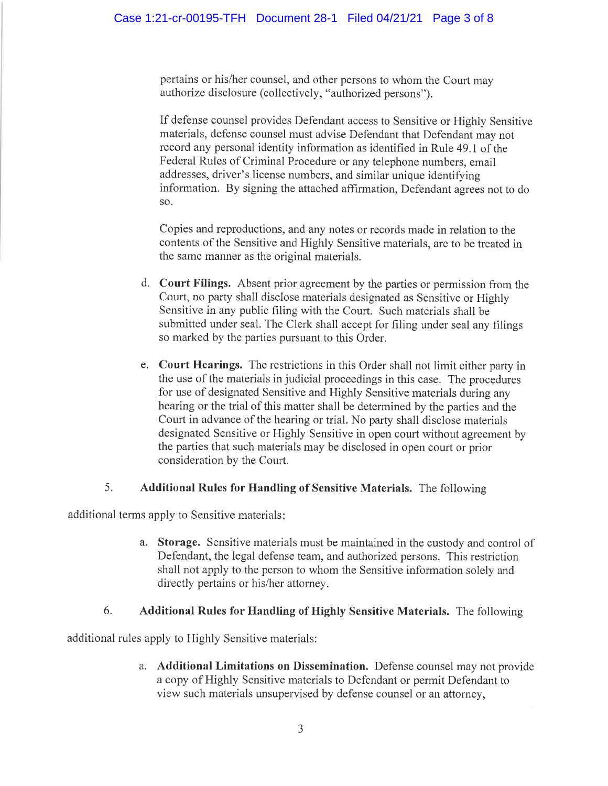pertains or his/her counsel, and other persons to whom the Court may authorize disclosure (collectively, "authorized persons").

If defense counsel provides Defendant access to Sensitive or Highly Sensitive materials, defense counsel must advise Defendant that Defendant may not record any personal identity information as identified in Rule 49.1 of the Federal Rules of Criminal Procedure or any telephone numbers, email addresses, driver's license numbers, and similar unique identifying information. By signing the attached affirmation, Defendant agrees not to do SO.

Copies and reproductions, and any notes or records made in relation to the contents of the Sensitive and Highly Sensitive materials, are to be treated in the same manner as the original materials.

- d. Court Filings. Absent prior agreement by the parties or permission from the Court, no party shall disclose materials designated as Sensitive or Highly Sensitive in any public filing with the Court. Such materials shall be submitted under seal. The Clerk shall accept for filing under seal any filings so marked by the parties pursuant to this Order.
- e. Court Hearings. The restrictions in this Order shall not limit either party in the use of the materials in judicial proceedings in this case. The procedures for use of designated Sensitive and Highly Sensitive materials during any hearing or the trial of this matter shall be determined by the parties and the Court in advance of the hearing or trial. No party shall disclose materials designated Sensitive or Highly Sensitive in open court without agreement by the parties that such materials may be disclosed in open court or prior consideration by the Court.

#### 5. Additional Rules for Handling of Sensitive Materials. The following

additional terms apply to Sensitive materials:

a. Storage. Sensitive materials must be maintained in the custody and control of Defendant, the legal defense team, and authorized persons. This restriction shall not apply to the person to whom the Sensitive information solely and directly pertains or his/her attorney.

#### 6. Additional Rules for Handling of Highly Sensitive Materials. The following

additional rules apply to Highly Sensitive materials:

a. Additional Limitations on Dissemination. Defense counsel may not provide a copy of Highly Sensitive materials to Defendant or permit Defendant to view such materials unsupervised by defense counsel or an attorney,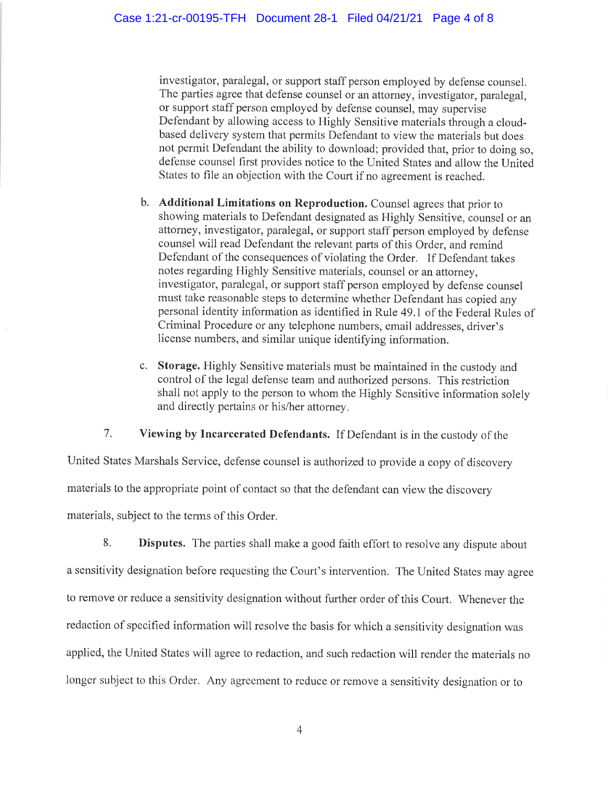investigator, paralegal, or support staff person employed by defense counsel. The parties agree that defense counsel or an attorney, investigator, paralegal, or support staff person employed by defense counsel, may supervise Defendant by allowing access to Highly Sensitive materials through a cloudbased delivery system that permits Defendant to view the materials but does not permit Defendant the ability to download; provided that, prior to doing so. defense counsel first provides notice to the United States and allow the United States to file an objection with the Court if no agreement is reached.

- b. Additional Limitations on Reproduction. Counsel agrees that prior to showing materials to Defendant designated as Highly Sensitive, counsel or an attorney, investigator, paralegal, or support staff person employed by defense counsel will read Defendant the relevant parts of this Order, and remind Defendant of the consequences of violating the Order. If Defendant takes notes regarding Highly Sensitive materials, counsel or an attorney, investigator, paralegal, or support staff person employed by defense counsel must take reasonable steps to determine whether Defendant has copied any personal identity information as identified in Rule 49.1 of the Federal Rules of Criminal Procedure or any telephone numbers, email addresses, driver's license numbers, and similar unique identifying information.
- c. Storage. Highly Sensitive materials must be maintained in the custody and control of the legal defense team and authorized persons. This restriction shall not apply to the person to whom the Highly Sensitive information solely and directly pertains or his/her attorney.

 $7<sub>1</sub>$ Viewing by Incarcerated Defendants. If Defendant is in the custody of the

United States Marshals Service, defense counsel is authorized to provide a copy of discovery materials to the appropriate point of contact so that the defendant can view the discovery materials, subject to the terms of this Order.

8. Disputes. The parties shall make a good faith effort to resolve any dispute about a sensitivity designation before requesting the Court's intervention. The United States may agree to remove or reduce a sensitivity designation without further order of this Court. Whenever the redaction of specified information will resolve the basis for which a sensitivity designation was applied, the United States will agree to redaction, and such redaction will render the materials no longer subject to this Order. Any agreement to reduce or remove a sensitivity designation or to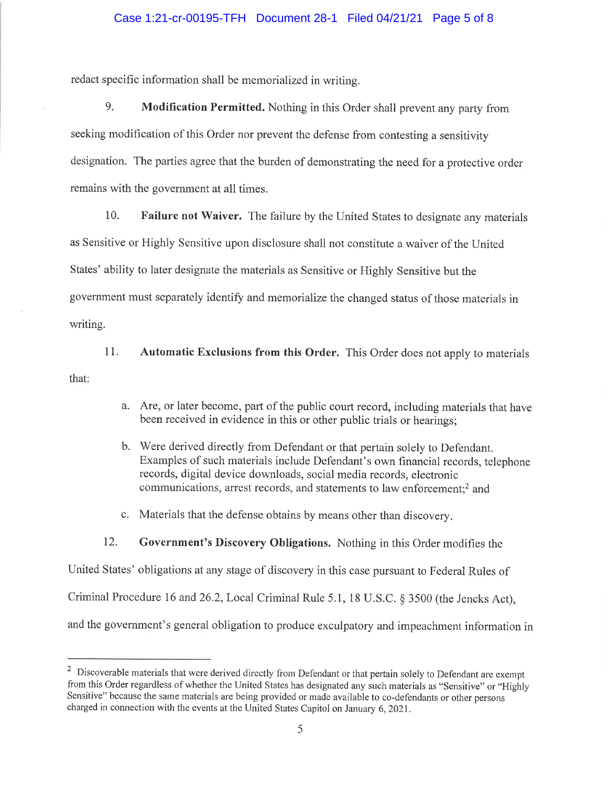redact specific information shall be memorialized in writing.

9. Modification Permitted. Nothing in this Order shall prevent any party from seeking modification of this Order nor prevent the defense from contesting a sensitivity designation. The parties agree that the burden of demonstrating the need for a protective order remains with the government at all times.

 $10.$ Failure not Waiver. The failure by the United States to designate any materials

as Sensitive or Highly Sensitive upon disclosure shall not constitute a waiver of the United

States' ability to later designate the materials as Sensitive or Highly Sensitive but the

government must separately identify and memorialize the changed status of those materials in

writing.

 $11.$ Automatic Exclusions from this Order. This Order does not apply to materials that:

- a. Are, or later become, part of the public court record, including materials that have been received in evidence in this or other public trials or hearings;
- b. Were derived directly from Defendant or that pertain solely to Defendant. Examples of such materials include Defendant's own financial records, telephone records, digital device downloads, social media records, electronic communications, arrest records, and statements to law enforcement:<sup>2</sup> and
- c. Materials that the defense obtains by means other than discovery.

12. Government's Discovery Obligations. Nothing in this Order modifies the

United States' obligations at any stage of discovery in this case pursuant to Federal Rules of

Criminal Procedure 16 and 26.2, Local Criminal Rule 5.1, 18 U.S.C. § 3500 (the Jencks Act),

and the government's general obligation to produce exculpatory and impeachment information in

<sup>&</sup>lt;sup>2</sup> Discoverable materials that were derived directly from Defendant or that pertain solely to Defendant are exempt from this Order regardless of whether the United States has designated any such materials as "Sensitive" or "Highly Sensitive" because the same materials are being provided or made available to co-defendants or other persons charged in connection with the events at the United States Capitol on January 6, 2021.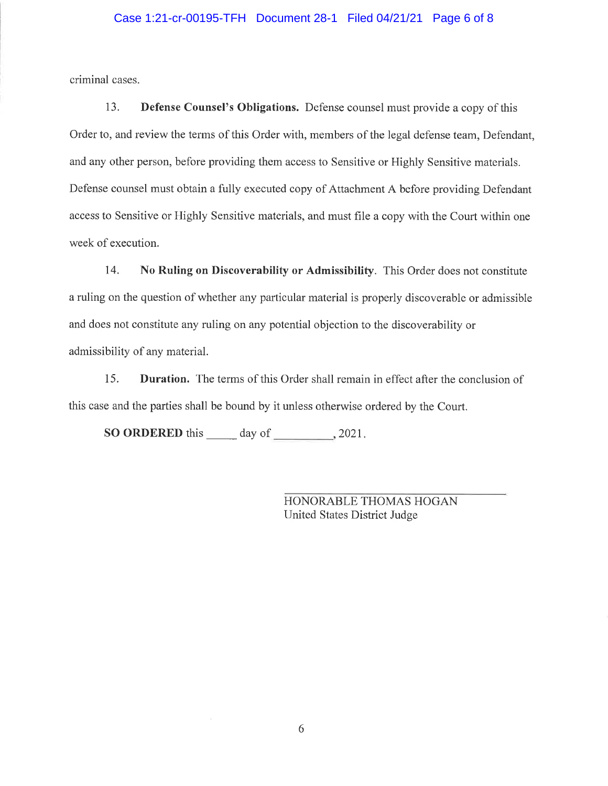## Case 1:21-cr-00195-TFH Document 28-1 Filed 04/21/21 Page 6 of 8

criminal cases.

13. **Defense Counsel's Obligations.** Defense counsel must provide a copy of this Order to, and review the terms of this Order with, members of the legal defense team, Defendant, and any other person, before providing them access to Sensitive or Highly Sensitive materials. Defense counsel must obtain a fully executed copy of Attachment A before providing Defendant access to Sensitive or Highly Sensitive materials, and must file a copy with the Court within one week of execution.

14. No Ruling on Discoverability or Admissibility. This Order does not constitute a ruling on the question of whether any particular material is properly discoverable or admissible and does not constitute any ruling on any potential objection to the discoverability or admissibility of any material.

Duration. The terms of this Order shall remain in effect after the conclusion of 15. this case and the parties shall be bound by it unless otherwise ordered by the Court.

**SO ORDERED** this  $\_\_\_\_$  day of  $\_\_\_\_$ , 2021.

HONORABLE THOMAS HOGAN United States District Judge

6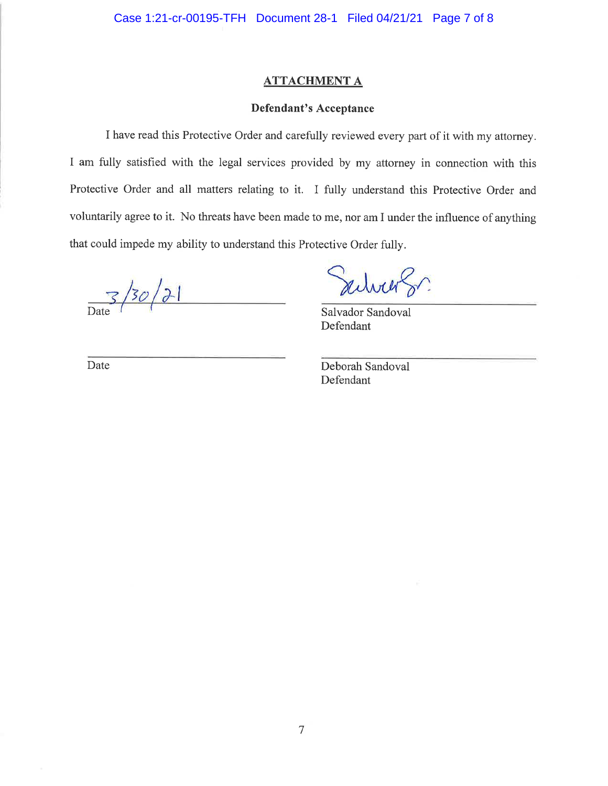# **ATTACHMENT A**

## **Defendant's Acceptance**

I have read this Protective Order and carefully reviewed every part of it with my attorney. I am fully satisfied with the legal services provided by my attorney in connection with this Protective Order and all matters relating to it. I fully understand this Protective Order and voluntarily agree to it. No threats have been made to me, nor am I under the influence of anything that could impede my ability to understand this Protective Order fully.

 $\frac{3}{2}$  /30/21

advier Sr.

Salvador Sandoval Defendant

Date

Deborah Sandoval Defendant